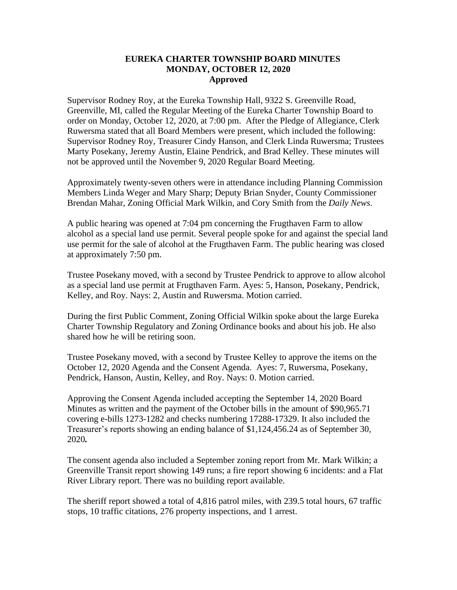## **EUREKA CHARTER TOWNSHIP BOARD MINUTES MONDAY, OCTOBER 12, 2020 Approved**

Supervisor Rodney Roy, at the Eureka Township Hall, 9322 S. Greenville Road, Greenville, MI, called the Regular Meeting of the Eureka Charter Township Board to order on Monday, October 12, 2020, at 7:00 pm. After the Pledge of Allegiance, Clerk Ruwersma stated that all Board Members were present, which included the following: Supervisor Rodney Roy, Treasurer Cindy Hanson, and Clerk Linda Ruwersma; Trustees Marty Posekany, Jeremy Austin, Elaine Pendrick, and Brad Kelley. These minutes will not be approved until the November 9, 2020 Regular Board Meeting.

Approximately twenty-seven others were in attendance including Planning Commission Members Linda Weger and Mary Sharp; Deputy Brian Snyder, County Commissioner Brendan Mahar, Zoning Official Mark Wilkin, and Cory Smith from the *Daily News*.

A public hearing was opened at 7:04 pm concerning the Frugthaven Farm to allow alcohol as a special land use permit. Several people spoke for and against the special land use permit for the sale of alcohol at the Frugthaven Farm. The public hearing was closed at approximately 7:50 pm.

Trustee Posekany moved, with a second by Trustee Pendrick to approve to allow alcohol as a special land use permit at Frugthaven Farm. Ayes: 5, Hanson, Posekany, Pendrick, Kelley, and Roy. Nays: 2, Austin and Ruwersma. Motion carried.

During the first Public Comment, Zoning Official Wilkin spoke about the large Eureka Charter Township Regulatory and Zoning Ordinance books and about his job. He also shared how he will be retiring soon.

Trustee Posekany moved, with a second by Trustee Kelley to approve the items on the October 12, 2020 Agenda and the Consent Agenda. Ayes: 7, Ruwersma, Posekany, Pendrick, Hanson, Austin, Kelley, and Roy. Nays: 0. Motion carried.

Approving the Consent Agenda included accepting the September 14, 2020 Board Minutes as written and the payment of the October bills in the amount of \$90,965.71 covering e-bills 1273-1282 and checks numbering 17288-17329. It also included the Treasurer's reports showing an ending balance of \$1,124,456.24 as of September 30, 2020*.*

The consent agenda also included a September zoning report from Mr. Mark Wilkin; a Greenville Transit report showing 149 runs; a fire report showing 6 incidents: and a Flat River Library report. There was no building report available.

The sheriff report showed a total of 4,816 patrol miles, with 239.5 total hours, 67 traffic stops, 10 traffic citations, 276 property inspections, and 1 arrest.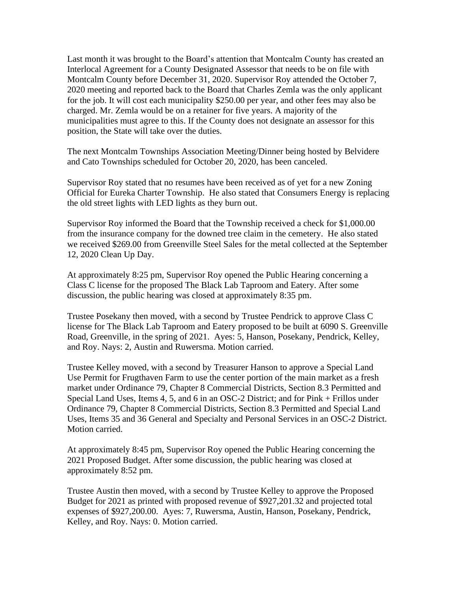Last month it was brought to the Board's attention that Montcalm County has created an Interlocal Agreement for a County Designated Assessor that needs to be on file with Montcalm County before December 31, 2020. Supervisor Roy attended the October 7, 2020 meeting and reported back to the Board that Charles Zemla was the only applicant for the job. It will cost each municipality \$250.00 per year, and other fees may also be charged. Mr. Zemla would be on a retainer for five years. A majority of the municipalities must agree to this. If the County does not designate an assessor for this position, the State will take over the duties.

The next Montcalm Townships Association Meeting/Dinner being hosted by Belvidere and Cato Townships scheduled for October 20, 2020, has been canceled.

Supervisor Roy stated that no resumes have been received as of yet for a new Zoning Official for Eureka Charter Township. He also stated that Consumers Energy is replacing the old street lights with LED lights as they burn out.

Supervisor Roy informed the Board that the Township received a check for \$1,000.00 from the insurance company for the downed tree claim in the cemetery. He also stated we received \$269.00 from Greenville Steel Sales for the metal collected at the September 12, 2020 Clean Up Day.

At approximately 8:25 pm, Supervisor Roy opened the Public Hearing concerning a Class C license for the proposed The Black Lab Taproom and Eatery. After some discussion, the public hearing was closed at approximately 8:35 pm.

Trustee Posekany then moved, with a second by Trustee Pendrick to approve Class C license for The Black Lab Taproom and Eatery proposed to be built at 6090 S. Greenville Road, Greenville, in the spring of 2021. Ayes: 5, Hanson, Posekany, Pendrick, Kelley, and Roy. Nays: 2, Austin and Ruwersma. Motion carried.

Trustee Kelley moved, with a second by Treasurer Hanson to approve a Special Land Use Permit for Frugthaven Farm to use the center portion of the main market as a fresh market under Ordinance 79, Chapter 8 Commercial Districts, Section 8.3 Permitted and Special Land Uses, Items 4, 5, and 6 in an OSC-2 District; and for Pink + Frillos under Ordinance 79, Chapter 8 Commercial Districts, Section 8.3 Permitted and Special Land Uses, Items 35 and 36 General and Specialty and Personal Services in an OSC-2 District. Motion carried.

At approximately 8:45 pm, Supervisor Roy opened the Public Hearing concerning the 2021 Proposed Budget. After some discussion, the public hearing was closed at approximately 8:52 pm.

Trustee Austin then moved, with a second by Trustee Kelley to approve the Proposed Budget for 2021 as printed with proposed revenue of \$927,201.32 and projected total expenses of \$927,200.00. Ayes: 7, Ruwersma, Austin, Hanson, Posekany, Pendrick, Kelley, and Roy. Nays: 0. Motion carried.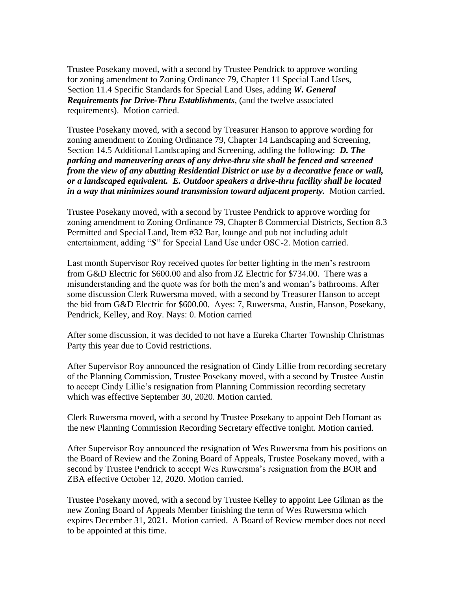Trustee Posekany moved, with a second by Trustee Pendrick to approve wording for zoning amendment to Zoning Ordinance 79, Chapter 11 Special Land Uses, Section 11.4 Specific Standards for Special Land Uses, adding *W. General Requirements for Drive-Thru Establishments*, (and the twelve associated requirements). Motion carried.

Trustee Posekany moved, with a second by Treasurer Hanson to approve wording for zoning amendment to Zoning Ordinance 79, Chapter 14 Landscaping and Screening, Section 14.5 Additional Landscaping and Screening, adding the following: *D. The parking and maneuvering areas of any drive-thru site shall be fenced and screened from the view of any abutting Residential District or use by a decorative fence or wall, or a landscaped equivalent. E. Outdoor speakers a drive-thru facility shall be located in a way that minimizes sound transmission toward adjacent property.* Motion carried.

Trustee Posekany moved, with a second by Trustee Pendrick to approve wording for zoning amendment to Zoning Ordinance 79, Chapter 8 Commercial Districts, Section 8.3 Permitted and Special Land, Item #32 Bar, lounge and pub not including adult entertainment, adding "*S*" for Special Land Use under OSC-2. Motion carried.

Last month Supervisor Roy received quotes for better lighting in the men's restroom from G&D Electric for \$600.00 and also from JZ Electric for \$734.00. There was a misunderstanding and the quote was for both the men's and woman's bathrooms. After some discussion Clerk Ruwersma moved, with a second by Treasurer Hanson to accept the bid from G&D Electric for \$600.00. Ayes: 7, Ruwersma, Austin, Hanson, Posekany, Pendrick, Kelley, and Roy. Nays: 0. Motion carried

After some discussion, it was decided to not have a Eureka Charter Township Christmas Party this year due to Covid restrictions.

After Supervisor Roy announced the resignation of Cindy Lillie from recording secretary of the Planning Commission, Trustee Posekany moved, with a second by Trustee Austin to accept Cindy Lillie's resignation from Planning Commission recording secretary which was effective September 30, 2020. Motion carried.

Clerk Ruwersma moved, with a second by Trustee Posekany to appoint Deb Homant as the new Planning Commission Recording Secretary effective tonight. Motion carried.

After Supervisor Roy announced the resignation of Wes Ruwersma from his positions on the Board of Review and the Zoning Board of Appeals, Trustee Posekany moved, with a second by Trustee Pendrick to accept Wes Ruwersma's resignation from the BOR and ZBA effective October 12, 2020. Motion carried.

Trustee Posekany moved, with a second by Trustee Kelley to appoint Lee Gilman as the new Zoning Board of Appeals Member finishing the term of Wes Ruwersma which expires December 31, 2021. Motion carried. A Board of Review member does not need to be appointed at this time.